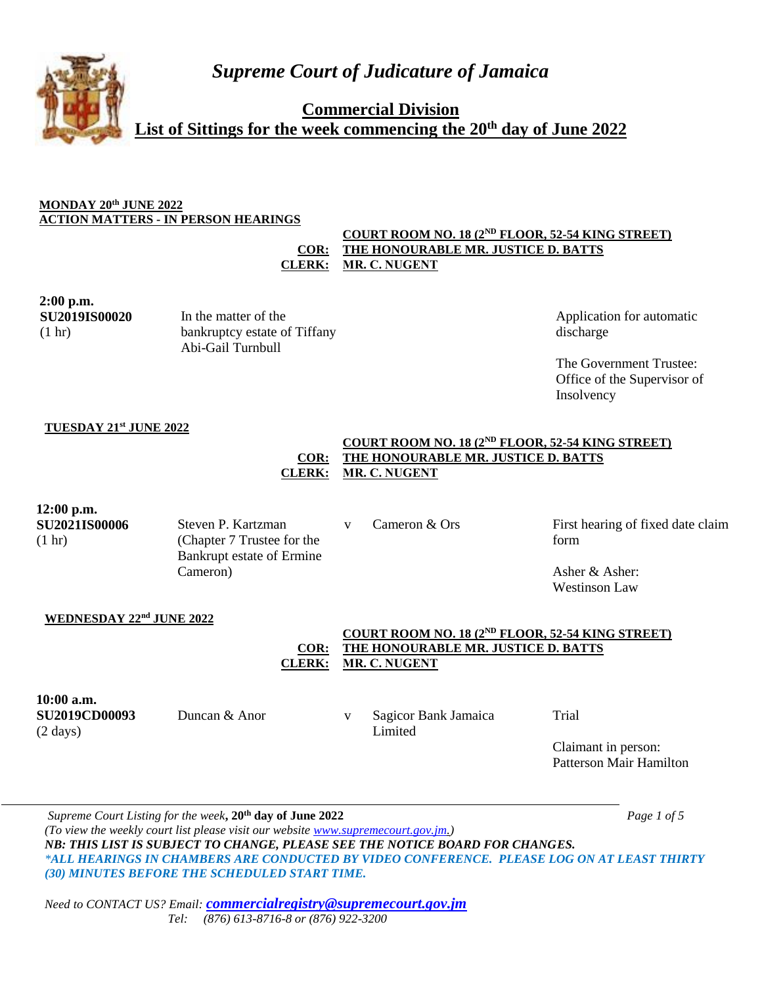**Commercial Division**

**List of Sittings for the week commencing the 20th day of June 2022**

## **MONDAY 20th JUNE 2022 ACTION MATTERS - IN PERSON HEARINGS**

#### **COR: COURT ROOM NO. 18 (2ND FLOOR, 52-54 KING STREET) THE HONOURABLE MR. JUSTICE D. BATTS CLERK: MR. C. NUGENT**

# **2:00 p.m. SU2019IS00020** (1 hr)

**TUESDAY 21st JUNE 2022**

In the matter of the bankruptcy estate of Tiffany Abi-Gail Turnbull

Application for automatic discharge

The Government Trustee: Office of the Supervisor of Insolvency

|                                                          | $-0.1 - 0.00$<br>COR:<br><b>CLERK:</b>                                                    | COURT ROOM NO. 18 (2 <sup>ND</sup> FLOOR, 52-54 KING STREET)<br>THE HONOURABLE MR. JUSTICE D. BATTS<br>MR. C. NUGENT               |                                                                                       |  |  |
|----------------------------------------------------------|-------------------------------------------------------------------------------------------|------------------------------------------------------------------------------------------------------------------------------------|---------------------------------------------------------------------------------------|--|--|
| $12:00$ p.m.<br><b>SU2021IS00006</b><br>$(1 \text{ hr})$ | Steven P. Kartzman<br>(Chapter 7 Trustee for the<br>Bankrupt estate of Ermine<br>Cameron) | Cameron & Ors<br>$\mathbf{V}$                                                                                                      | First hearing of fixed date claim<br>form<br>Asher $&$ Asher:<br><b>Westinson Law</b> |  |  |
| WEDNESDAY 22nd JUNE 2022                                 | COR:<br><b>CLERK:</b>                                                                     | COURT ROOM NO. 18 (2 <sup>ND</sup> FLOOR, 52-54 KING STREET)<br><b>THE HONOURABLE MR. JUSTICE D. BATTS</b><br><b>MR. C. NUGENT</b> |                                                                                       |  |  |
| 10:00 a.m.<br><b>SU2019CD00093</b><br>$(2 \text{ days})$ | Duncan & Anor                                                                             | Sagicor Bank Jamaica<br>V<br>Limited                                                                                               | Trial                                                                                 |  |  |

Claimant in person: Patterson Mair Hamilton

*Supreme Court Listing for the week***, 20th day of June 2022** *Page 1 of 5 (To view the weekly court list please visit our website [www.supremecourt.gov.jm.](http://www.supremecourt.gov.jm/)) NB: THIS LIST IS SUBJECT TO CHANGE, PLEASE SEE THE NOTICE BOARD FOR CHANGES. \*ALL HEARINGS IN CHAMBERS ARE CONDUCTED BY VIDEO CONFERENCE. PLEASE LOG ON AT LEAST THIRTY (30) MINUTES BEFORE THE SCHEDULED START TIME.*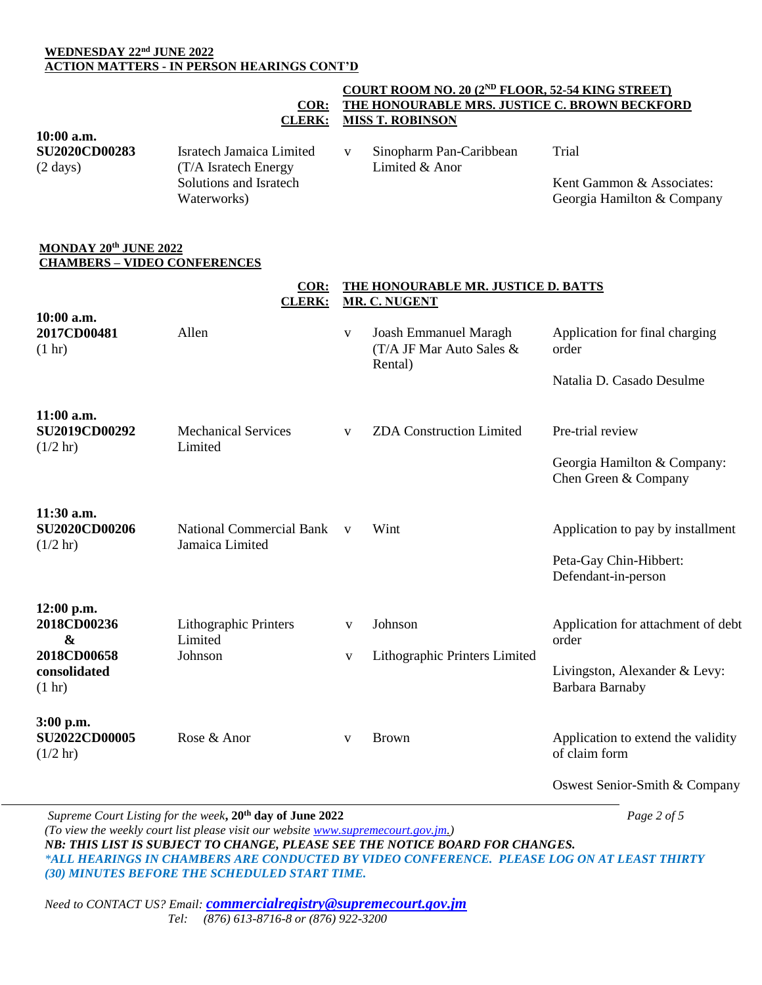## **WEDNESDAY 22nd JUNE 2022 ACTION MATTERS - IN PERSON HEARINGS CONT'D**

#### **COR: COURT ROOM NO. 20 (2ND FLOOR, 52-54 KING STREET) THE HONOURABLE MRS. JUSTICE C. BROWN BECKFORD CLERK: MISS T. ROBINSON**

**COR: THE HONOURABLE MR. JUSTICE D. BATTS** 

**10:00 a.m. SU2020CD00283** (2 days) Isratech Jamaica Limited (T/A Isratech Energy Solutions and Isratech Waterworks) v Sinopharm Pan-Caribbean Limited & Anor Trial Kent Gammon & Associates: Georgia Hamilton & Company

#### **MONDAY 20th JUNE 2022 CHAMBERS – VIDEO CONFERENCES**

|                                                                                         | <u>сол.</u><br><b>CLERK:</b>                              | THE HOROGRADLE MR. JOSHUE D. BAT 19<br><b>MR. C. NUGENT</b> |                                                                        |                                                                                                 |  |
|-----------------------------------------------------------------------------------------|-----------------------------------------------------------|-------------------------------------------------------------|------------------------------------------------------------------------|-------------------------------------------------------------------------------------------------|--|
| 10:00 a.m.<br>2017CD00481<br>(1 hr)                                                     | Allen                                                     | $\mathbf{V}$                                                | <b>Joash Emmanuel Maragh</b><br>$(T/A)$ JF Mar Auto Sales &<br>Rental) | Application for final charging<br>order<br>Natalia D. Casado Desulme                            |  |
| $11:00$ a.m.<br><b>SU2019CD00292</b><br>(1/2 hr)                                        | <b>Mechanical Services</b><br>Limited                     | V                                                           | <b>ZDA Construction Limited</b>                                        | Pre-trial review<br>Georgia Hamilton & Company:<br>Chen Green & Company                         |  |
| 11:30 a.m.<br><b>SU2020CD00206</b><br>$(1/2 \text{ hr})$                                | <b>National Commercial Bank</b><br>Jamaica Limited        | $\mathbf{V}$                                                | Wint                                                                   | Application to pay by installment<br>Peta-Gay Chin-Hibbert:<br>Defendant-in-person              |  |
| 12:00 p.m.<br>2018CD00236<br>$\boldsymbol{\&}$<br>2018CD00658<br>consolidated<br>(1 hr) | <b>Lithographic Printers</b><br>Limited<br>Johnson        | $\mathbf{V}$<br>V                                           | Johnson<br>Lithographic Printers Limited                               | Application for attachment of debt<br>order<br>Livingston, Alexander & Levy:<br>Barbara Barnaby |  |
| 3:00 p.m.<br><b>SU2022CD00005</b><br>$(1/2 \text{ hr})$                                 | Rose & Anor                                               | V                                                           | <b>Brown</b>                                                           | Application to extend the validity<br>of claim form<br>Oswest Senior-Smith & Company            |  |
|                                                                                         | Suprama Court Listing for the week. 20th day of June 2022 |                                                             |                                                                        | $D_{QQQ}$ 2 of 5                                                                                |  |

*Supreme Court Listing for the week***, 20th day of June 2022** *Page 2 of 5 (To view the weekly court list please visit our website [www.supremecourt.gov.jm.](http://www.supremecourt.gov.jm/)) NB: THIS LIST IS SUBJECT TO CHANGE, PLEASE SEE THE NOTICE BOARD FOR CHANGES. \*ALL HEARINGS IN CHAMBERS ARE CONDUCTED BY VIDEO CONFERENCE. PLEASE LOG ON AT LEAST THIRTY (30) MINUTES BEFORE THE SCHEDULED START TIME.*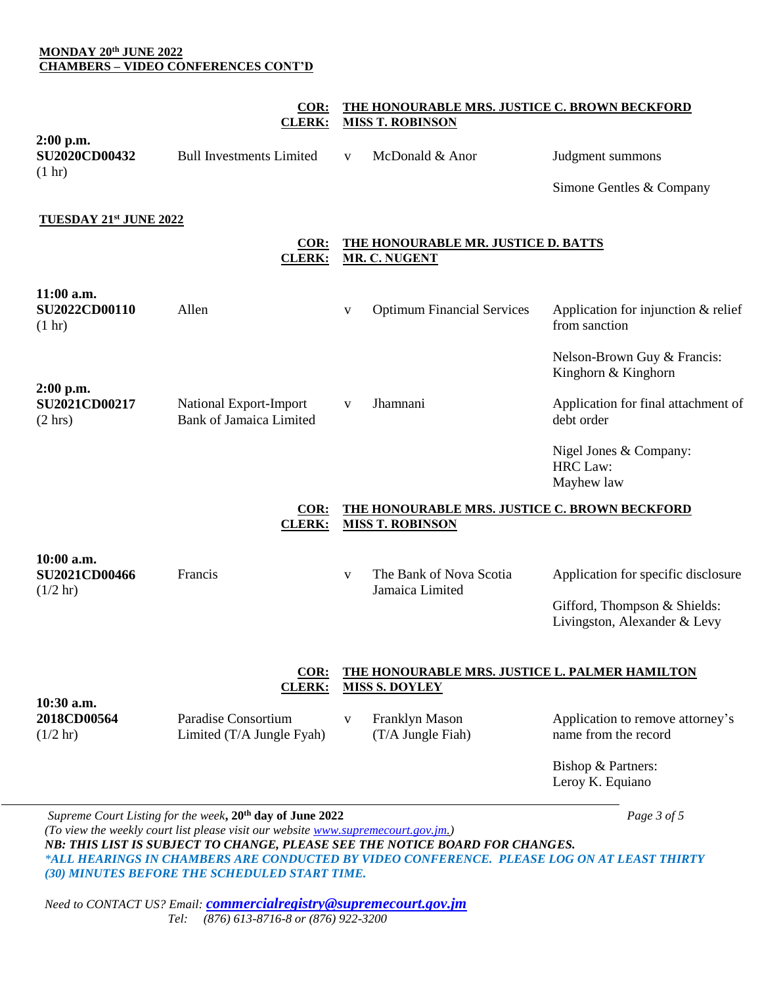## **MONDAY 20th JUNE 2022 CHAMBERS – VIDEO CONFERENCES CONT'D**

## **COR: THE HONOURABLE MRS. JUSTICE C. BROWN BECKFORD CLERK: MISS T. ROBINSON**

| $2:00$ p.m.                              |                                 |                 |                  |
|------------------------------------------|---------------------------------|-----------------|------------------|
| <b>SU2020CD00432</b><br>$(1 \text{ hr})$ | <b>Bull Investments Limited</b> | McDonald & Anor | Judgment summons |

Simone Gentles & Company

## **TUESDAY 21st JUNE 2022**

**COR: THE HONOURABLE MR. JUSTICE D. BATTS CLERK: MR. C. NUGENT**

| 11:00 a.m.<br><b>SU2022CD00110</b><br>(1 hr)                                                                                                                                                                                                                                                                                                                                                                | Allen                                            | V                                                                       | <b>Optimum Financial Services</b>                                        | Application for injunction $&$ relief<br>from sanction                                              |
|-------------------------------------------------------------------------------------------------------------------------------------------------------------------------------------------------------------------------------------------------------------------------------------------------------------------------------------------------------------------------------------------------------------|--------------------------------------------------|-------------------------------------------------------------------------|--------------------------------------------------------------------------|-----------------------------------------------------------------------------------------------------|
| $2:00$ p.m.<br>SU2021CD00217                                                                                                                                                                                                                                                                                                                                                                                | National Export-Import                           | V                                                                       | Jhamnani                                                                 | Nelson-Brown Guy & Francis:<br>Kinghorn & Kinghorn<br>Application for final attachment of           |
| (2 hr)                                                                                                                                                                                                                                                                                                                                                                                                      | <b>Bank of Jamaica Limited</b>                   |                                                                         |                                                                          | debt order<br>Nigel Jones & Company:<br><b>HRC</b> Law:<br>Mayhew law                               |
|                                                                                                                                                                                                                                                                                                                                                                                                             | COR:<br><b>CLERK:</b>                            |                                                                         | THE HONOURABLE MRS. JUSTICE C. BROWN BECKFORD<br><b>MISS T. ROBINSON</b> |                                                                                                     |
| 10:00 a.m.<br><b>SU2021CD00466</b><br>$(1/2 \text{ hr})$                                                                                                                                                                                                                                                                                                                                                    | Francis                                          | $\mathbf{V}$                                                            | The Bank of Nova Scotia<br>Jamaica Limited                               | Application for specific disclosure<br>Gifford, Thompson & Shields:<br>Livingston, Alexander & Levy |
|                                                                                                                                                                                                                                                                                                                                                                                                             | COR:<br><b>CLERK:</b>                            | THE HONOURABLE MRS. JUSTICE L. PALMER HAMILTON<br><b>MISS S. DOYLEY</b> |                                                                          |                                                                                                     |
| 10:30 a.m.<br>2018CD00564<br>$(1/2 \text{ hr})$                                                                                                                                                                                                                                                                                                                                                             | Paradise Consortium<br>Limited (T/A Jungle Fyah) | V                                                                       | Franklyn Mason<br>(T/A Jungle Fiah)                                      | Application to remove attorney's<br>name from the record                                            |
|                                                                                                                                                                                                                                                                                                                                                                                                             |                                                  |                                                                         |                                                                          | Bishop & Partners:<br>Leroy K. Equiano                                                              |
| Supreme Court Listing for the week, 20 <sup>th</sup> day of June 2022<br>$\sqrt{T}$ , $\sqrt{T}$ , $\sqrt{T}$ , $\sqrt{T}$ , $\sqrt{T}$ , $\sqrt{T}$ , $\sqrt{T}$ , $\sqrt{T}$ , $\sqrt{T}$ , $\sqrt{T}$ , $\sqrt{T}$ , $\sqrt{T}$ , $\sqrt{T}$ , $\sqrt{T}$ , $\sqrt{T}$ , $\sqrt{T}$ , $\sqrt{T}$ , $\sqrt{T}$ , $\sqrt{T}$ , $\sqrt{T}$ , $\sqrt{T}$ , $\sqrt{T}$ , $\sqrt{T}$ , $\sqrt{T}$ , $\sqrt{T}$ |                                                  |                                                                         |                                                                          | Page 3 of 5                                                                                         |

*(To view the weekly court list please visit our website [www.supremecourt.gov.jm.](http://www.supremecourt.gov.jm/)) NB: THIS LIST IS SUBJECT TO CHANGE, PLEASE SEE THE NOTICE BOARD FOR CHANGES. \*ALL HEARINGS IN CHAMBERS ARE CONDUCTED BY VIDEO CONFERENCE. PLEASE LOG ON AT LEAST THIRTY (30) MINUTES BEFORE THE SCHEDULED START TIME.*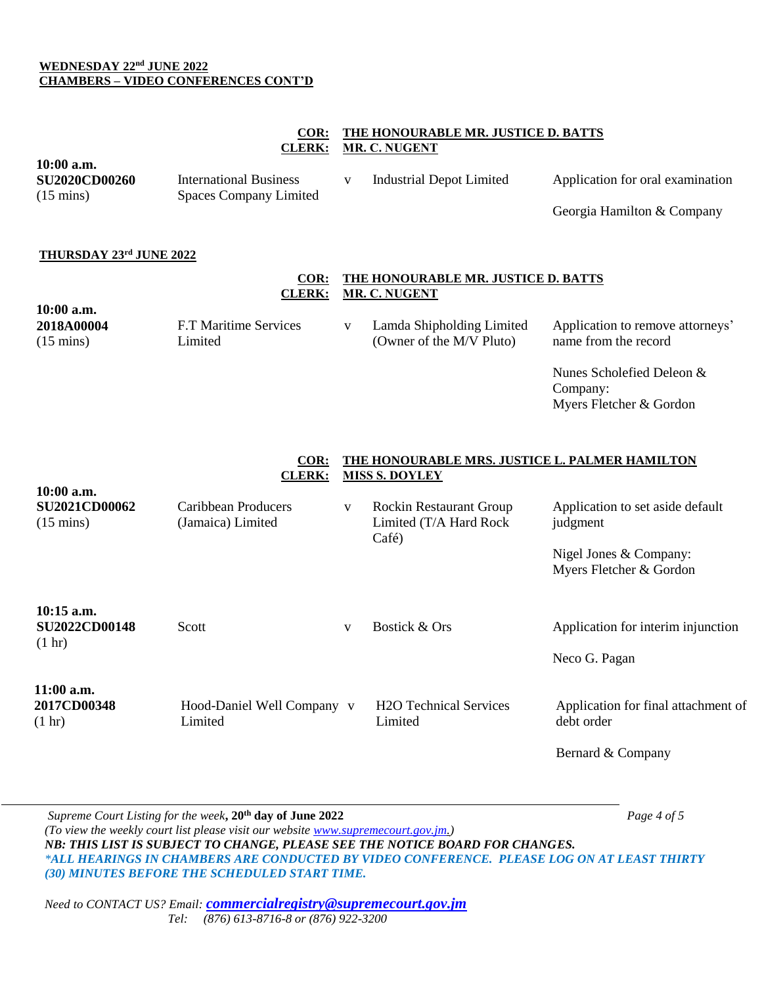#### **WEDNESDAY 22nd JUNE 2022 CHAMBERS – VIDEO CONFERENCES CONT'D**

**10:00 a.m.**

## **COR: THE HONOURABLE MR. JUSTICE D. BATTS CLERK: MR. C. NUGENT**

| <b>SU2020CD00260</b>                                                       | <b>International Business</b>                                     | $\mathbf{V}$ | <b>Industrial Depot Limited</b>                                                                                                              | Application for oral examination                                                                                             |
|----------------------------------------------------------------------------|-------------------------------------------------------------------|--------------|----------------------------------------------------------------------------------------------------------------------------------------------|------------------------------------------------------------------------------------------------------------------------------|
| $(15 \text{ mins})$                                                        | <b>Spaces Company Limited</b>                                     |              |                                                                                                                                              | Georgia Hamilton & Company                                                                                                   |
| THURSDAY 23rd JUNE 2022<br>10:00 a.m.<br>2018A00004<br>$(15 \text{ mins})$ | $COR$ :<br><b>CLERK:</b><br>F.T Maritime Services<br>Limited      | V            | THE HONOURABLE MR. JUSTICE D. BATTS<br><b>MR. C. NUGENT</b><br>Lamda Shipholding Limited<br>(Owner of the M/V Pluto)                         | Application to remove attorneys'<br>name from the record<br>Nunes Scholefied Deleon &<br>Company:<br>Myers Fletcher & Gordon |
| 10:00 a.m.<br><b>SU2021CD00062</b><br>$(15 \text{ mins})$                  | COR:<br><b>CLERK:</b><br>Caribbean Producers<br>(Jamaica) Limited | $\mathbf{V}$ | THE HONOURABLE MRS. JUSTICE L. PALMER HAMILTON<br><b>MISS S. DOYLEY</b><br><b>Rockin Restaurant Group</b><br>Limited (T/A Hard Rock<br>Café) | Application to set aside default<br>judgment<br>Nigel Jones & Company:<br>Myers Fletcher & Gordon                            |
| 10:15 a.m.<br><b>SU2022CD00148</b><br>$(1 \text{ hr})$                     | Scott                                                             | V            | Bostick & Ors                                                                                                                                | Application for interim injunction<br>Neco G. Pagan                                                                          |
| 11:00 a.m.<br>2017CD00348<br>$(1 \text{ hr})$                              | Hood-Daniel Well Company v<br>Limited                             |              | <b>H2O Technical Services</b><br>Limited                                                                                                     | Application for final attachment of<br>debt order<br>Bernard & Company                                                       |

*Supreme Court Listing for the week***, 20th day of June 2022** *Page 4 of 5 (To view the weekly court list please visit our website [www.supremecourt.gov.jm.](http://www.supremecourt.gov.jm/)) NB: THIS LIST IS SUBJECT TO CHANGE, PLEASE SEE THE NOTICE BOARD FOR CHANGES. \*ALL HEARINGS IN CHAMBERS ARE CONDUCTED BY VIDEO CONFERENCE. PLEASE LOG ON AT LEAST THIRTY (30) MINUTES BEFORE THE SCHEDULED START TIME.*